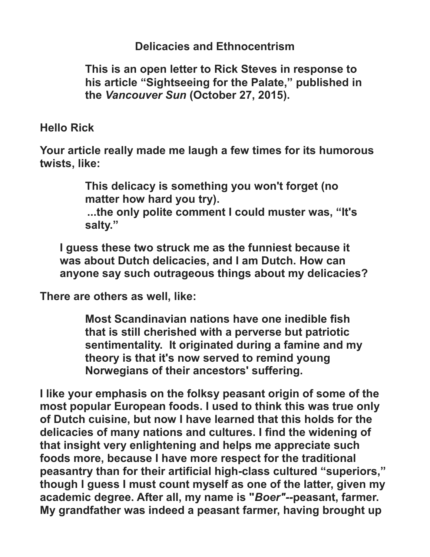**Delicacies and Ethnocentrism**

**This is an open letter to Rick Steves in response to his article "Sightseeing for the Palate," published in the** *Vancouver Sun* **(October 27, 2015).**

**Hello Rick**

**Your article really made me laugh a few times for its humorous twists, like:**

> **This delicacy is something you won't forget (no matter how hard you try).**

**...the only polite comment I could muster was, "It's salty."**

**I guess these two struck me as the funniest because it was about Dutch delicacies, and I am Dutch. How can anyone say such outrageous things about my delicacies?**

**There are others as well, like:**

**Most Scandinavian nations have one inedible fish that is still cherished with a perverse but patriotic sentimentality. It originated during a famine and my theory is that it's now served to remind young Norwegians of their ancestors' suffering.**

**I like your emphasis on the folksy peasant origin of some of the most popular European foods. I used to think this was true only of Dutch cuisine, but now I have learned that this holds for the delicacies of many nations and cultures. I find the widening of that insight very enlightening and helps me appreciate such foods more, because I have more respect for the traditional peasantry than for their artificial high-class cultured "superiors," though I guess I must count myself as one of the latter, given my academic degree. After all, my name is "***Boer"--***peasant, farmer. My grandfather was indeed a peasant farmer, having brought up**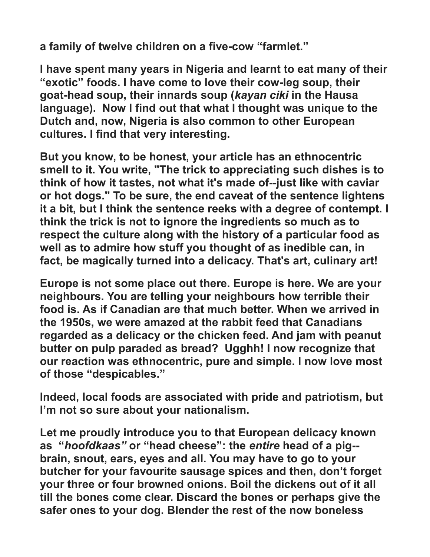**a family of twelve children on a five-cow "farmlet."**

**I have spent many years in Nigeria and learnt to eat many of their "exotic" foods. I have come to love their cow-leg soup, their goat-head soup, their innards soup (***kayan ciki* **in the Hausa language). Now I find out that what I thought was unique to the Dutch and, now, Nigeria is also common to other European cultures. I find that very interesting.**

**But you know, to be honest, your article has an ethnocentric smell to it. You write, "The trick to appreciating such dishes is to think of how it tastes, not what it's made of--just like with caviar or hot dogs." To be sure, the end caveat of the sentence lightens it a bit, but I think the sentence reeks with a degree of contempt. I think the trick is not to ignore the ingredients so much as to respect the culture along with the history of a particular food as well as to admire how stuff you thought of as inedible can, in fact, be magically turned into a delicacy. That's art, culinary art!**

**Europe is not some place out there. Europe is here. We are your neighbours. You are telling your neighbours how terrible their food is. As if Canadian are that much better. When we arrived in the 1950s, we were amazed at the rabbit feed that Canadians regarded as a delicacy or the chicken feed. And jam with peanut butter on pulp paraded as bread? Ugghh! I now recognize that our reaction was ethnocentric, pure and simple. I now love most of those "despicables."**

**Indeed, local foods are associated with pride and patriotism, but I'm not so sure about your nationalism.**

**Let me proudly introduce you to that European delicacy known as "***hoofdkaas"* **or "head cheese": the** *entire* **head of a pig- brain, snout, ears, eyes and all. You may have to go to your butcher for your favourite sausage spices and then, don't forget your three or four browned onions. Boil the dickens out of it all till the bones come clear. Discard the bones or perhaps give the safer ones to your dog. Blender the rest of the now boneless**